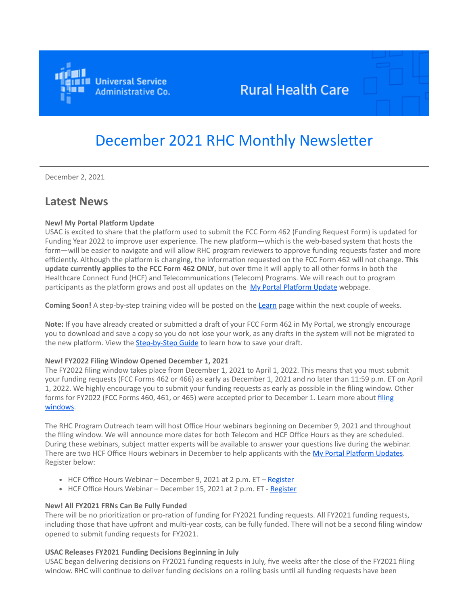

## **Rural Health Care**

# December 2021 RHC Monthly Newsletter

December 2, 2021

### **Latest News**

#### **New! My Portal Platform Update**

USAC is excited to share that the platform used to submit the FCC Form 462 (Funding Request Form) is updated for Funding Year 2022 to improve user experience. The new platform—which is the web-based system that hosts the form—will be easier to navigate and will allow RHC program reviewers to approve funding requests faster and more efficiently. Although the platform is changing, the information requested on the FCC Form 462 will not change. **This update currently applies to the FCC Form 462 ONLY**, but over time it will apply to all other forms in both the Healthcare Connect Fund (HCF) and Telecommunications (Telecom) Programs. We will reach out to program participants as the platform grows and post all updates on the [My Portal Platform Update](https://click.outreach.usac.org/?qs=dd11a9a3dd6acd44fe656455e33b467fd9b5a636d540d4edcae05e970fd208179b5b0cecc19c2765585bd54f1008755afd92db42918c4a30) webpage.

**Coming Soon!** A step-by-step training video will be posted on the [Learn](https://click.outreach.usac.org/?qs=dd11a9a3dd6acd447f4898b000d7afeac0a539b7f9127805185913278c8bf3ed8563a63ac42d4dc0fe09e63affb02ee98b742e2f11b27c6d) page within the next couple of weeks.

**Note:** If you have already created or submitted a draft of your FCC Form 462 in My Portal, we strongly encourage you to download and save a copy so you do not lose your work, as any drafts in the system will not be migrated to the new platform. View the **[Step-by-Step Guide](https://click.outreach.usac.org/?qs=dd11a9a3dd6acd4473a0c7ee47d6d67ae991f5b7a277eb4f6d5274d12141c9717552923c8764840d2574168b9ccc4b0879b91cf020737e0e)** to learn how to save your draft.

#### **New! FY2022 Filing Window Opened December 1, 2021**

The FY2022 filing window takes place from December 1, 2021 to April 1, 2022. This means that you must submit your funding requests (FCC Forms 462 or 466) as early as December 1, 2021 and no later than 11:59 p.m. ET on April 1, 2022. We highly encourage you to submit your funding requests as early as possible in the filing window. Other [forms for FY2022 \(FCC Forms 460, 461, or 465\) were accepted prior to December 1. Learn more about filing](https://click.outreach.usac.org/?qs=dd11a9a3dd6acd4418e218d65d4f5298cf0f4a634b420e8f0122973ca74250ab89659a4643e762a15efe3bd5932b46dd5061f564e176312e) windows.

The RHC Program Outreach team will host Office Hour webinars beginning on December 9, 2021 and throughout the filing window. We will announce more dates for both Telecom and HCF Office Hours as they are scheduled. During these webinars, subject matter experts will be available to answer your questions live during the webinar. There are two HCF Office Hours webinars in December to help applicants with the [My Portal Platform Updates](https://click.outreach.usac.org/?qs=dd11a9a3dd6acd44834cf323e461b008dd5427c7b623b4dcd6c4b29dae8fc6d8e4bdf7c17af4f28bb0c9758a9644cc731e4752b793e38735). Register below:

- HCF Office Hours Webinar December 9, 2021 at 2 p.m. ET [Register](https://click.outreach.usac.org/?qs=dd11a9a3dd6acd4428d4a4e81b255e38ee0dd289071de269b4119be7ac9d20c62ac19988b9c220158f6976a06e09fa694746142b6bea5abd)
- HCF Office Hours Webinar December 15, 2021 at 2 p.m. ET [Register](https://click.outreach.usac.org/?qs=dd11a9a3dd6acd4405bee38362dcfaa2c404e1bcebc0aca6cfef576d6c378f0ef5e5237ed4d2b48145948587aab11005d12c26dd1ba2510e)

#### **New! All FY2021 FRNs Can Be Fully Funded**

There will be no prioritization or pro-ration of funding for FY2021 funding requests. All FY2021 funding requests, including those that have upfront and multi-year costs, can be fully funded. There will not be a second filing window opened to submit funding requests for FY2021.

#### **USAC Releases FY2021 Funding Decisions Beginning in July**

USAC began delivering decisions on FY2021 funding requests in July, five weeks after the close of the FY2021 filing window. RHC will continue to deliver funding decisions on a rolling basis until all funding requests have been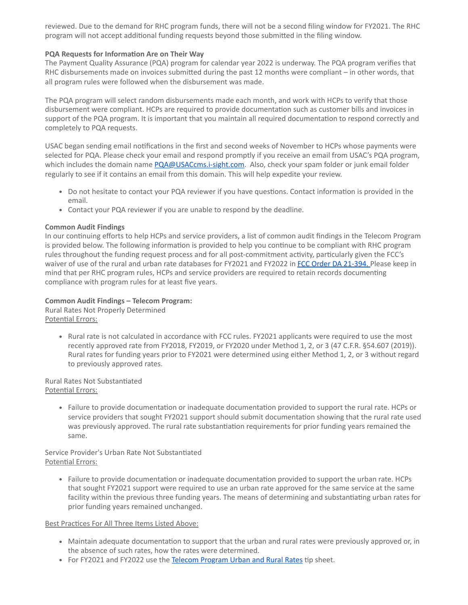reviewed. Due to the demand for RHC program funds, there will not be a second filing window for FY2021. The RHC program will not accept additional funding requests beyond those submitted in the filing window.

#### **PQA Requests for Information Are on Their Way**

The Payment Quality Assurance (PQA) program for calendar year 2022 is underway. The PQA program verifies that RHC disbursements made on invoices submitted during the past 12 months were compliant – in other words, that all program rules were followed when the disbursement was made.

The PQA program will select random disbursements made each month, and work with HCPs to verify that those disbursement were compliant. HCPs are required to provide documentation such as customer bills and invoices in support of the PQA program. It is important that you maintain all required documentation to respond correctly and completely to PQA requests.

USAC began sending email notifications in the first and second weeks of November to HCPs whose payments were selected for PQA. Please check your email and respond promptly if you receive an email from USAC's PQA program, which includes the domain name [PQA@USACcms.i-sight.com.](mailto:PQA@USACcms.i-sight.com?subject=) Also, check your spam folder or junk email folder regularly to see if it contains an email from this domain. This will help expedite your review.

- Do not hesitate to contact your PQA reviewer if you have questions. Contact information is provided in the email.
- Contact your PQA reviewer if you are unable to respond by the deadline.

#### **Common Audit Findings**

In our continuing efforts to help HCPs and service providers, a list of common audit findings in the Telecom Program is provided below. The following information is provided to help you continue to be compliant with RHC program rules throughout the funding request process and for all post-commitment activity, particularly given the FCC's waiver of use of the rural and urban rate databases for FY2021 and FY2022 in [FCC Order DA 21-394](https://click.outreach.usac.org/?qs=dd11a9a3dd6acd44f2be00f29ef1fbc2955cc6cb2351d51c6337db01be397e882a0972598b1ff025b4ac64c9d87fefd272b5c34b2655d188)[.](https://click.outreach.usac.org/?qs=dd11a9a3dd6acd44e3e0e8d2bdb354db8d066a8a360e8daacd94267554db1be1aeea2d9f93f7d4b3d0e48af30495221d1c41835567612e59) Please keep in mind that per RHC program rules, HCPs and service providers are required to retain records documenting compliance with program rules for at least five years.

#### **Common Audit Findings – Telecom Program:**

Rural Rates Not Properly Determined Potential Errors:

> Rural rate is not calculated in accordance with FCC rules. FY2021 applicants were required to use the most recently approved rate from FY2018, FY2019, or FY2020 under Method 1, 2, or 3 (47 C.F.R. §54.607 (2019)). Rural rates for funding years prior to FY2021 were determined using either Method 1, 2, or 3 without regard to previously approved rates.

Rural Rates Not Substantiated Potential Errors:

> Failure to provide documentation or inadequate documentation provided to support the rural rate. HCPs or service providers that sought FY2021 support should submit documentation showing that the rural rate used was previously approved. The rural rate substantiation requirements for prior funding years remained the same.

Service Provider's Urban Rate Not Substantiated Potential Errors:

Failure to provide documentation or inadequate documentation provided to support the urban rate. HCPs that sought FY2021 support were required to use an urban rate approved for the same service at the same facility within the previous three funding years. The means of determining and substantiating urban rates for prior funding years remained unchanged.

#### Best Practices For All Three Items Listed Above:

- Maintain adequate documentation to support that the urban and rural rates were previously approved or, in the absence of such rates, how the rates were determined.
- For FY2021 and FY2022 use the [Telecom Program Urban and Rural Rates](https://click.outreach.usac.org/?qs=dd11a9a3dd6acd44e6d9e0deeae8dcca653cdacb677decde9b648d90d9ecc2a0aeff3fee6c3cfab54753f3753fea2c7e361d929e11f7072f) tip sheet.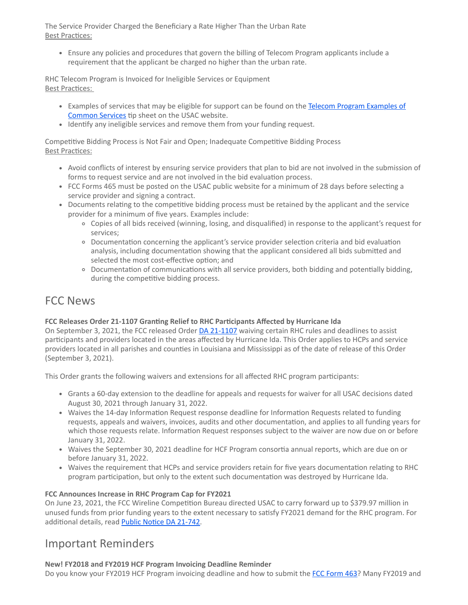The Service Provider Charged the Beneficiary a Rate Higher Than the Urban Rate Best Practices:

Ensure any policies and procedures that govern the billing of Telecom Program applicants include a requirement that the applicant be charged no higher than the urban rate.

RHC Telecom Program is Invoiced for Ineligible Services or Equipment Best Practices:

- [Examples of services that may be eligible for support can be found on the Telecom Program Examples of](https://click.outreach.usac.org/?qs=dd11a9a3dd6acd4414ded0358068d979dfb3301b4028e02b73dd2e34a4867eed5fc5806da732fc4c3e8b65bbd92cc9995dd409c6851453d7) Common Services tip sheet on the USAC website.
- Identify any ineligible services and remove them from your funding request.

Competitive Bidding Process is Not Fair and Open; Inadequate Competitive Bidding Process Best Practices:

- Avoid conflicts of interest by ensuring service providers that plan to bid are not involved in the submission of forms to request service and are not involved in the bid evaluation process.
- FCC Forms 465 must be posted on the USAC public website for a minimum of 28 days before selecting a service provider and signing a contract.
- Documents relating to the competitive bidding process must be retained by the applicant and the service provider for a minimum of five years. Examples include:
	- Copies of all bids received (winning, losing, and disqualified) in response to the applicant's request for services;
	- Documentation concerning the applicant's service provider selection criteria and bid evaluation analysis, including documentation showing that the applicant considered all bids submitted and selected the most cost-effective option; and
	- Documentation of communications with all service providers, both bidding and potentially bidding, during the competitive bidding process.

## FCC News

#### **FCC Releases Order 21-1107 Granting Relief to RHC Participants Affected by Hurricane Ida**

On September 3, 2021, the FCC released Order [DA 21-1107](https://click.outreach.usac.org/?qs=dd11a9a3dd6acd4490ff7e4a8d3c7e4f4152131a17c4f5066fe6d4269a6ebb1f01fbc8fd1dd863d9a15d53412b946d7e80a3b11c7d0e802f) waiving certain RHC rules and deadlines to assist participants and providers located in the areas affected by Hurricane Ida. This Order applies to HCPs and service providers located in all parishes and counties in Louisiana and Mississippi as of the date of release of this Order (September 3, 2021).

This Order grants the following waivers and extensions for all affected RHC program participants:

- Grants a 60-day extension to the deadline for appeals and requests for waiver for all USAC decisions dated August 30, 2021 through January 31, 2022.
- Waives the 14-day Information Request response deadline for Information Requests related to funding requests, appeals and waivers, invoices, audits and other documentation, and applies to all funding years for which those requests relate. Information Request responses subject to the waiver are now due on or before January 31, 2022.
- Waives the September 30, 2021 deadline for HCF Program consortia annual reports, which are due on or before January 31, 2022.
- Waives the requirement that HCPs and service providers retain for five years documentation relating to RHC program participation, but only to the extent such documentation was destroyed by Hurricane Ida.

#### **FCC Announces Increase in RHC Program Cap for FY2021**

On June 23, 2021, the FCC Wireline Competition Bureau directed USAC to carry forward up to \$379.97 million in unused funds from prior funding years to the extent necessary to satisfy FY2021 demand for the RHC program. For additional details, read [Public Notice DA 21-742.](https://click.outreach.usac.org/?qs=dd11a9a3dd6acd4426ba5513fcb7439b115edfd11eb063a83b70f1baf59c9457c1693f3ed45f1c2865677e7693f8eeb3c44762eaba73ee76)

### Important Reminders

#### **New! FY2018 and FY2019 HCF Program Invoicing Deadline Reminder**

Do you know your FY2019 HCF Program invoicing deadline and how to submit the [FCC Form 463?](https://click.outreach.usac.org/?qs=dd11a9a3dd6acd44e46e719a0459c206f19f23804d85c09e7ac4d7dcf67d8f8f05b77623cf0e41806bbe6df75ef64ab0b59ac8522acb46d7) Many FY2019 and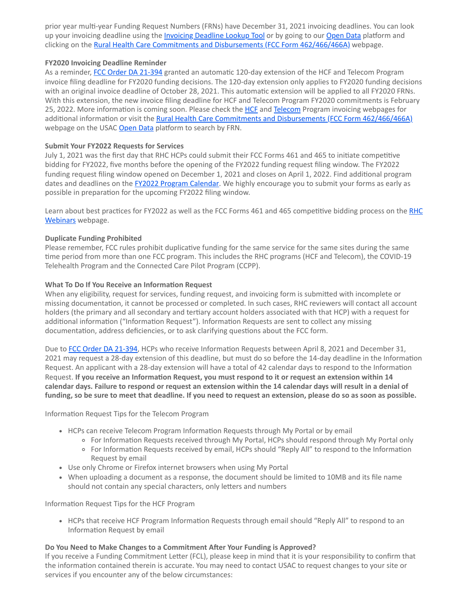prior year multi-year Funding Request Numbers (FRNs) have December 31, 2021 invoicing deadlines. You can look up your invoicing deadline using the *[Invoicing Deadline Lookup Tool](https://click.outreach.usac.org/?qs=dd11a9a3dd6acd446e79332f16c85a7577fc90183c37c6804383bf0ba66dfc35825e42ce3c74cc51644dd80678e51d8cbf9c75d30548f2ac)* or by going to our [Open Data](https://click.outreach.usac.org/?qs=dd11a9a3dd6acd44f21879d6a8563bc6f9e07e76a521fa3f9b8088fdd6aea96fdef8511a7579d4e6201535811ba57dc1937c3fe9c0a5bf14) platform and clicking on the [Rural Health Care Commitments and Disbursements \(FCC Form 462/466/466A\)](https://click.outreach.usac.org/?qs=dd11a9a3dd6acd448caccd8636ede9cc296a53cd271879a4b1def0109fb27dc26530963e5d570757935b0919dc47b6e3db12f457a0fd6676) webpage.

#### **FY2020 Invoicing Deadline Reminder**

As a reminder, [FCC Order DA 21-394](https://click.outreach.usac.org/?qs=dd11a9a3dd6acd440c69a7aa7f0ec5183d8d5dd0c0be903e2fc6f8211825ab5559035bbd790cf069e617adeff62ffd2b171c39d7a13dc53e) granted an automatic 120-day extension of the HCF and Telecom Program invoice filing deadline for FY2020 funding decisions. The 120-day extension only applies to FY2020 funding decisions with an original invoice deadline of October 28, 2021. This automatic extension will be applied to all FY2020 FRNs. With this extension, the new invoice filing deadline for HCF and Telecom Program FY2020 commitments is February 25, 2022. More information is coming soon. Please check the [HCF](https://click.outreach.usac.org/?qs=dd11a9a3dd6acd443c693baf253d35664d1bb71ef77d3ea46425a4b000c5d3b26aefd1737cd1b84ed22609e9220f11eaeab9e212e81be456) and [Telecom](https://click.outreach.usac.org/?qs=dd11a9a3dd6acd44c50e0254cc0f93ddd72361b7376af5714c7647b76dfce49935ea744540f69e19d54618da95854297aaf9d12d461f15e1) Program invoicing webpages for additional information or visit the [Rural Health Care Commitments and Disbursements \(FCC Form 462/466/466A\)](https://click.outreach.usac.org/?qs=dd11a9a3dd6acd448caccd8636ede9cc296a53cd271879a4b1def0109fb27dc26530963e5d570757935b0919dc47b6e3db12f457a0fd6676) webpage on the USAC [Open Data](https://click.outreach.usac.org/?qs=dd11a9a3dd6acd446d99d65d2592864031c3986ab6d19589171973cbe719ed6cfab826ad40d8ab70b8a248b8739814bd0214bdd4aefcef05) platform to search by FRN.

#### **Submit Your FY2022 Requests for Services**

July 1, 2021 was the first day that RHC HCPs could submit their FCC Forms 461 and 465 to initiate competitive bidding for FY2022, five months before the opening of the FY2022 funding request filing window. The FY2022 funding request filing window opened on December 1, 2021 and closes on April 1, 2022. Find additional program dates and deadlines on the **[FY2022 Program Calendar](https://click.outreach.usac.org/?qs=dd11a9a3dd6acd44864b87297bb741fe7b398ad153f8512ab56ddf53eff2cc7ff4f3646bbed96253ca831af4888704e636d79609d56c844c)**. We highly encourage you to submit your forms as early as possible in preparation for the upcoming FY2022 filing window.

[Learn about best practices for FY2022 as well as the FCC Forms 461 and 465 competitive bidding process on the](https://click.outreach.usac.org/?qs=dd11a9a3dd6acd44f60c59581fb23d616c6baae81802606e08410a6b9682b5525637f11c33e57048ca8f293b56885baab06ff673aa29d586) RHC Webinars webpage.

#### **Duplicate Funding Prohibited**

Please remember, FCC rules prohibit duplicative funding for the same service for the same sites during the same time period from more than one FCC program. This includes the RHC programs (HCF and Telecom), the COVID-19 Telehealth Program and the Connected Care Pilot Program (CCPP).

#### **What To Do If You Receive an Information Request**

When any eligibility, request for services, funding request, and invoicing form is submitted with incomplete or missing documentation, it cannot be processed or completed. In such cases, RHC reviewers will contact all account holders (the primary and all secondary and tertiary account holders associated with that HCP) with a request for additional information ("Information Request"). Information Requests are sent to collect any missing documentation, address deficiencies, or to ask clarifying questions about the FCC form.

Due to [FCC Order DA 21-394](https://click.outreach.usac.org/?qs=dd11a9a3dd6acd44f2be00f29ef1fbc2955cc6cb2351d51c6337db01be397e882a0972598b1ff025b4ac64c9d87fefd272b5c34b2655d188), HCPs who receive Information Requests between April 8, 2021 and December 31, 2021 may request a 28-day extension of this deadline, but must do so before the 14-day deadline in the Information Request. An applicant with a 28-day extension will have a total of 42 calendar days to respond to the Information Request. **If you receive an Information Request, you must respond to it or request an extension within 14 calendar days. Failure to respond or request an extension within the 14 calendar days will result in a denial of funding, so be sure to meet that deadline. If you need to request an extension, please do so as soon as possible.**

Information Request Tips for the Telecom Program

- HCPs can receive Telecom Program Information Requests through My Portal or by email
	- For Information Requests received through My Portal, HCPs should respond through My Portal only
	- For Information Requests received by email, HCPs should "Reply All" to respond to the Information Request by email
- Use only Chrome or Firefox internet browsers when using My Portal
- When uploading a document as a response, the document should be limited to 10MB and its file name should not contain any special characters, only letters and numbers

Information Request Tips for the HCF Program

• HCPs that receive HCF Program Information Requests through email should "Reply All" to respond to an Information Request by email

#### **Do You Need to Make Changes to a Commitment After Your Funding is Approved?**

If you receive a Funding Commitment Letter (FCL), please keep in mind that it is your responsibility to confirm that the information contained therein is accurate. You may need to contact USAC to request changes to your site or services if you encounter any of the below circumstances: